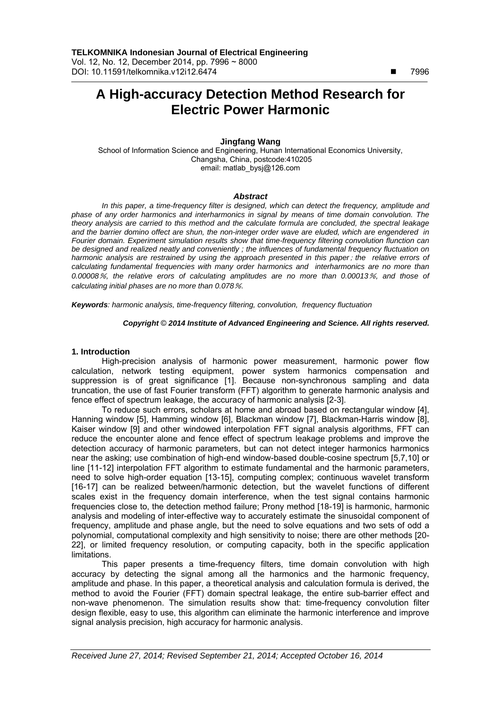$\overline{a}$ 

# **A High-accuracy Detection Method Research for Electric Power Harmonic**

# **Jingfang Wang**

School of Information Science and Engineering, Hunan International Economics University, Changsha, China, postcode:410205 email: matlab\_bysj@126.com

## *Abstract*

*In this paper, a time-frequency filter is designed, which can detect the frequency, amplitude and phase of any order harmonics and interharmonics in signal by means of time domain convolution. The theory analysis are carried to this method and the calculate formula are concluded, the spectral leakage and the barrier domino offect are shun, the non-integer order wave are eluded, which are engendered in Fourier domain. Experiment simulation results show that time-frequency filtering convolution flunction can be designed and realized neatly and conveniently ; the influences of fundamental frequency fluctuation on harmonic analysis are restrained by using the approach presented in this paper*; *the relative errors of calculating fundamental frequencies with many order harmonics and interharmonics are no more than 0.00008*%*, the relative erors of calculating amplitudes are no more than 0.00013*%*, and those of calculating initial phases are no more than 0.078*%*.* 

*Keywords: harmonic analysis, time-frequency filtering, convolution, frequency fluctuation*

### *Copyright* © *2014 Institute of Advanced Engineering and Science. All rights reserved.*

#### **1. Introduction**

High-precision analysis of harmonic power measurement, harmonic power flow calculation, network testing equipment, power system harmonics compensation and suppression is of great significance [1]. Because non-synchronous sampling and data truncation, the use of fast Fourier transform (FFT) algorithm to generate harmonic analysis and fence effect of spectrum leakage, the accuracy of harmonic analysis [2-3].

To reduce such errors, scholars at home and abroad based on rectangular window [4], Hanning window [5], Hamming window [6], Blackman window [7], Blackman-Harris window [8], Kaiser window [9] and other windowed interpolation FFT signal analysis algorithms, FFT can reduce the encounter alone and fence effect of spectrum leakage problems and improve the detection accuracy of harmonic parameters, but can not detect integer harmonics harmonics near the asking; use combination of high-end window-based double-cosine spectrum [5,7,10] or line [11-12] interpolation FFT algorithm to estimate fundamental and the harmonic parameters, need to solve high-order equation [13-15], computing complex; continuous wavelet transform [16-17] can be realized between/harmonic detection, but the wavelet functions of different scales exist in the frequency domain interference, when the test signal contains harmonic frequencies close to, the detection method failure; Prony method [18-19] is harmonic, harmonic analysis and modeling of inter-effective way to accurately estimate the sinusoidal component of frequency, amplitude and phase angle, but the need to solve equations and two sets of odd a polynomial, computational complexity and high sensitivity to noise; there are other methods [20- 22], or limited frequency resolution, or computing capacity, both in the specific application limitations.

This paper presents a time-frequency filters, time domain convolution with high accuracy by detecting the signal among all the harmonics and the harmonic frequency, amplitude and phase. In this paper, a theoretical analysis and calculation formula is derived, the method to avoid the Fourier (FFT) domain spectral leakage, the entire sub-barrier effect and non-wave phenomenon. The simulation results show that: time-frequency convolution filter design flexible, easy to use, this algorithm can eliminate the harmonic interference and improve signal analysis precision, high accuracy for harmonic analysis.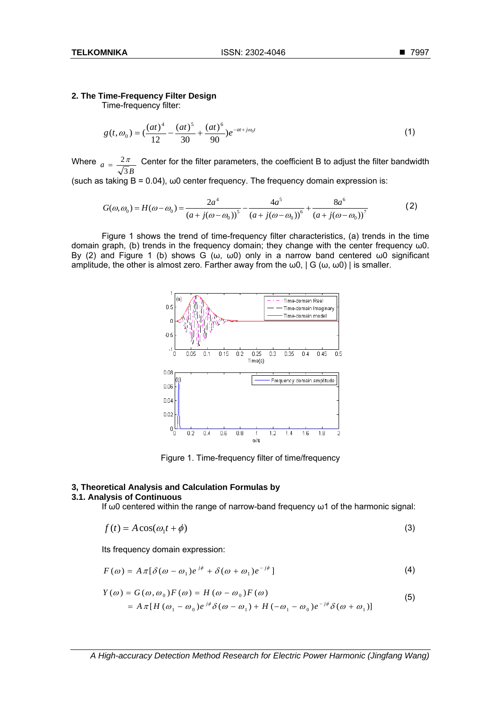# **2. The Time-Frequency Filter Design**

Time-frequency filter:

$$
g(t, \omega_0) = \left(\frac{(at)^4}{12} - \frac{(at)^5}{30} + \frac{(at)^6}{90}\right)e^{-at + j\omega_0 t}
$$
 (1)

Where  $a = \frac{2\pi}{\sqrt{3}B}$  Center for the filter parameters, the coefficient B to adjust the filter bandwidth (such as taking  $B = 0.04$ ),  $\omega 0$  center frequency. The frequency domain expression is:

$$
G(\omega, \omega_0) = H(\omega - \omega_0) = \frac{2a^4}{(a + j(\omega - \omega_0))^5} - \frac{4a^5}{(a + j(\omega - \omega_0))^6} + \frac{8a^6}{(a + j(\omega - \omega_0))^7}
$$
(2)

Figure 1 shows the trend of time-frequency filter characteristics, (a) trends in the time domain graph, (b) trends in the frequency domain; they change with the center frequency ω0. By (2) and Figure 1 (b) shows G (ω, ω0) only in a narrow band centered ω0 significant amplitude, the other is almost zero. Farther away from the  $\omega$ 0, | G ( $\omega$ ,  $\omega$ 0) | is smaller.



Figure 1. Time-frequency filter of time/frequency

# **3, Theoretical Analysis and Calculation Formulas by**

# **3.1. Analysis of Continuous**

If  $ω0$  centered within the range of narrow-band frequency  $ω1$  of the harmonic signal:

$$
f(t) = A\cos(\omega_1 t + \phi) \tag{3}
$$

Its frequency domain expression:

$$
F(\omega) = A \pi [\delta(\omega - \omega_1) e^{j\phi} + \delta(\omega + \omega_1) e^{-j\phi}]
$$
\n(4)

$$
Y(\omega) = G(\omega, \omega_0) F(\omega) = H(\omega - \omega_0) F(\omega)
$$
  
=  $A \pi [H(\omega_1 - \omega_0) e^{j\phi} \delta(\omega - \omega_1) + H(-\omega_1 - \omega_0) e^{-j\phi} \delta(\omega + \omega_1)]$  (5)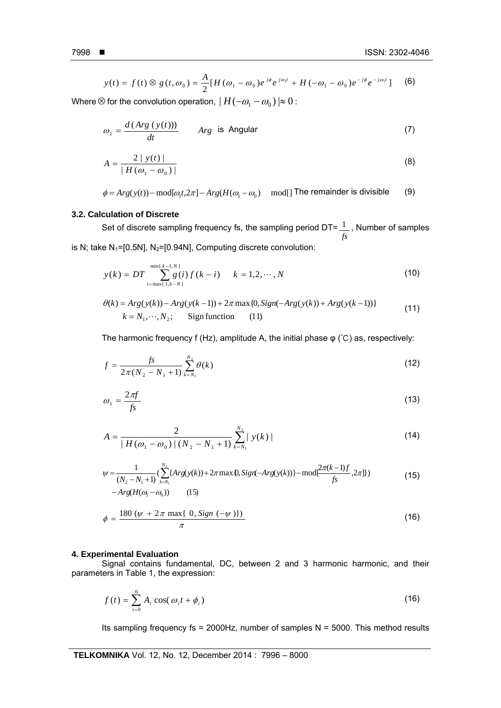ֺ

$$
y(t) = f(t) \otimes g(t, \omega_0) = \frac{A}{2} [H(\omega_1 - \omega_0) e^{j\phi} e^{j\omega_1 t} + H(-\omega_1 - \omega_0) e^{-j\phi} e^{-j\omega_1 t}] \tag{6}
$$

Where  $\otimes$  for the convolution operation,  $| H(-\omega_1 - \omega_0 )| \approx 0$ :

$$
\omega_1 = \frac{d(Arg\ (y(t)))}{dt} \qquad Arg \text{ is Angular} \tag{7}
$$

$$
A = \frac{2 \mid y(t) \mid}{\mid H(\omega_1 - \omega_0) \mid} \tag{8}
$$

$$
\phi = Arg(y(t)) - mod[\omega_1 t, 2\pi] - Arg(H(\omega_1 - \omega_0) \mod 7
$$
 The remainder is divisible (9)

# **3.2. Calculation of Discrete**

Set of discrete sampling frequency fs, the sampling period DT= $\frac{1}{\sqrt{1}}$ , Number of samples *fs* is N; take  $N_1$ =[0.5N], N<sub>2</sub>=[0.94N], Computing discrete convolution:

$$
y(k) = DT \sum_{i=\max\{1,k-N\}}^{\min\{k-1,N\}} g(i) f(k-i) \qquad k = 1, 2, \cdots, N
$$
 (10)

$$
\theta(k) = Arg(y(k)) - Arg(y(k-1)) + 2\pi \max\{0, Sign(-Arg(y(k)) + Arg(y(k-1))\}
$$
  
\n
$$
k = N_1, \dots, N_2; \qquad \text{Sign function} \qquad (11)
$$
 (11)

The harmonic frequency f (Hz), amplitude A, the initial phase  $\varphi$  (°C) as, respectively:

$$
f = \frac{fs}{2\pi (N_2 - N_1 + 1)} \sum_{k=N_1}^{N_2} \theta(k)
$$
 (12)

$$
\omega_1 = \frac{2\pi f}{fs} \tag{13}
$$

$$
A = \frac{2}{|H(\omega_1 - \omega_0)| (N_2 - N_1 + 1)} \sum_{k=N_1}^{N_2} |y(k)|
$$
\n(14)

$$
\psi = \frac{1}{(N_2 - N_1 + 1)} \left( \sum_{k=N_1}^{N_2} \{ Arg(y(k)) + 2\pi \max \{0, Sign(-Arg(y(k))\} - \text{mod} \frac{2\pi (k-1)f}{fs}, 2\pi] \} \right) \tag{15}
$$
  
- Arg(H( $\omega_1 - \omega_0$ )) (15)

$$
\phi = \frac{180 \ (\psi + 2\pi \max\{\ 0, Sign\ (-\psi)\})}{\pi}
$$
\n(16)

## **4. Experimental Evaluation**

Signal contains fundamental, DC, between 2 and 3 harmonic harmonic, and their parameters in Table 1, the expression:

$$
f(t) = \sum_{i=0}^{6} A_i \cos(\omega_i t + \phi_i)
$$
 (16)

Its sampling frequency fs = 2000Hz, number of samples  $N = 5000$ . This method results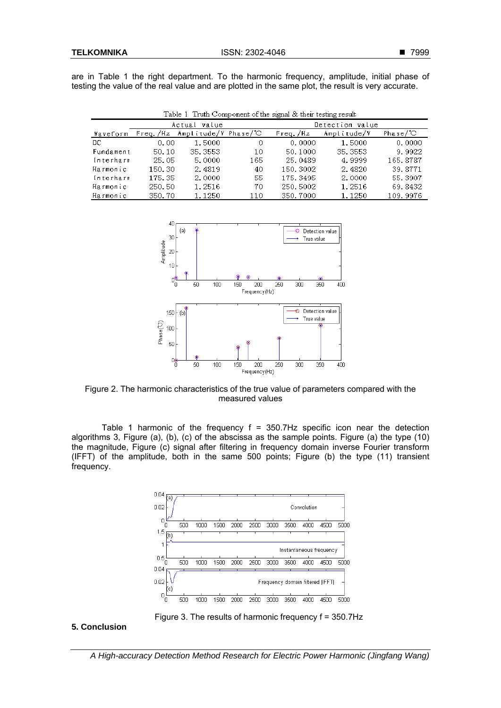are in Table 1 the right department. To the harmonic frequency, amplitude, initial phase of testing the value of the real value and are plotted in the same plot, the result is very accurate.

| Table 1 Truth Component of the signal & their testing result |                 |                               |     |                 |             |                     |
|--------------------------------------------------------------|-----------------|-------------------------------|-----|-----------------|-------------|---------------------|
|                                                              | Actual<br>value |                               |     | Detection value |             |                     |
| Waveform                                                     |                 | Freq./Hz Amplitude/V Phase/°C |     | Freq./Hz        | Amplitude/V | Phase/ $\mathbb{C}$ |
| DC.                                                          | 0.00            | 1.5000                        | 0   | 0.0000          | 1.5000      | 0.0000              |
| Fundament                                                    | 50.10           | 35.3553                       | 10  | 50.1000         | 35.3553     | 9.9922              |
| Interharm                                                    | 25.05           | 5.0000                        | 165 | 25.0489         | 4.9999      | 165.8787            |
| Harmonic                                                     | 150.30          | 2.4819                        | 40  | 150.3002        | 2.4820      | 39.8771             |
| Interharm                                                    | 175.35          | 2.0000                        | 55  | 175.3495        | 2.0000      | 55.3907             |
| Harmonic                                                     | 250.50          | 1.2516                        | 70  | 250.5002        | 1.2516      | 69.8432             |
| Harmonic                                                     | 350.70          | 1.1250                        | 110 | 350.7000        | 1.1250      | 109.9976            |



Figure 2. The harmonic characteristics of the true value of parameters compared with the measured values

Table 1 harmonic of the frequency  $f = 350.7$ Hz specific icon near the detection algorithms 3, Figure (a), (b), (c) of the abscissa as the sample points. Figure (a) the type (10) the magnitude, Figure (c) signal after filtering in frequency domain inverse Fourier transform (IFFT) of the amplitude, both in the same 500 points; Figure (b) the type (11) transient frequency.



Figure 3. The results of harmonic frequency f = 350.7Hz

# **5. Conclusion**

*A High-accuracy Detection Method Research for Electric Power Harmonic (Jingfang Wang)*